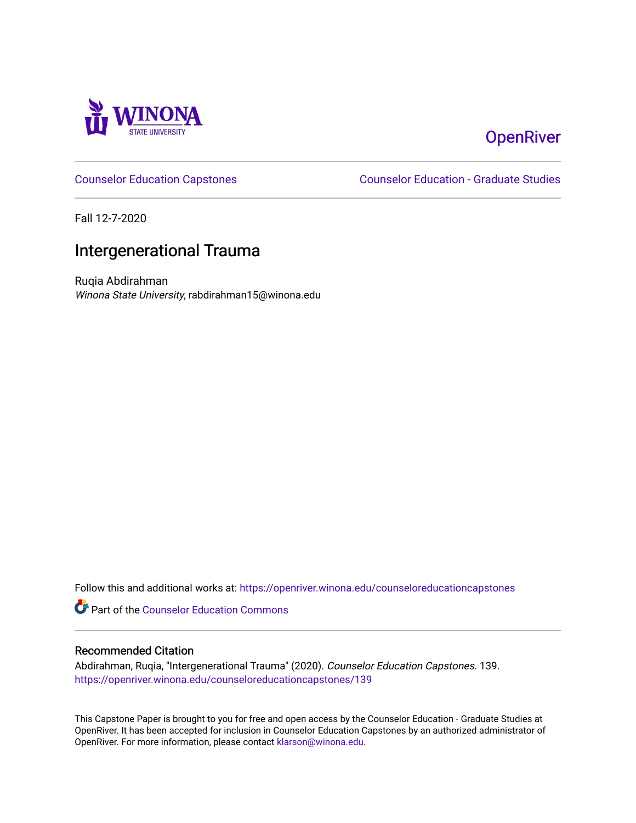

# **OpenRiver**

[Counselor Education Capstones](https://openriver.winona.edu/counseloreducationcapstones) [Counselor Education - Graduate Studies](https://openriver.winona.edu/counseloreducation) 

Fall 12-7-2020

# Intergenerational Trauma

Ruqia Abdirahman Winona State University, rabdirahman15@winona.edu

Follow this and additional works at: [https://openriver.winona.edu/counseloreducationcapstones](https://openriver.winona.edu/counseloreducationcapstones?utm_source=openriver.winona.edu%2Fcounseloreducationcapstones%2F139&utm_medium=PDF&utm_campaign=PDFCoverPages)

Part of the [Counselor Education Commons](http://network.bepress.com/hgg/discipline/1278?utm_source=openriver.winona.edu%2Fcounseloreducationcapstones%2F139&utm_medium=PDF&utm_campaign=PDFCoverPages) 

### Recommended Citation

Abdirahman, Ruqia, "Intergenerational Trauma" (2020). Counselor Education Capstones. 139. [https://openriver.winona.edu/counseloreducationcapstones/139](https://openriver.winona.edu/counseloreducationcapstones/139?utm_source=openriver.winona.edu%2Fcounseloreducationcapstones%2F139&utm_medium=PDF&utm_campaign=PDFCoverPages)

This Capstone Paper is brought to you for free and open access by the Counselor Education - Graduate Studies at OpenRiver. It has been accepted for inclusion in Counselor Education Capstones by an authorized administrator of OpenRiver. For more information, please contact [klarson@winona.edu](mailto:klarson@winona.edu).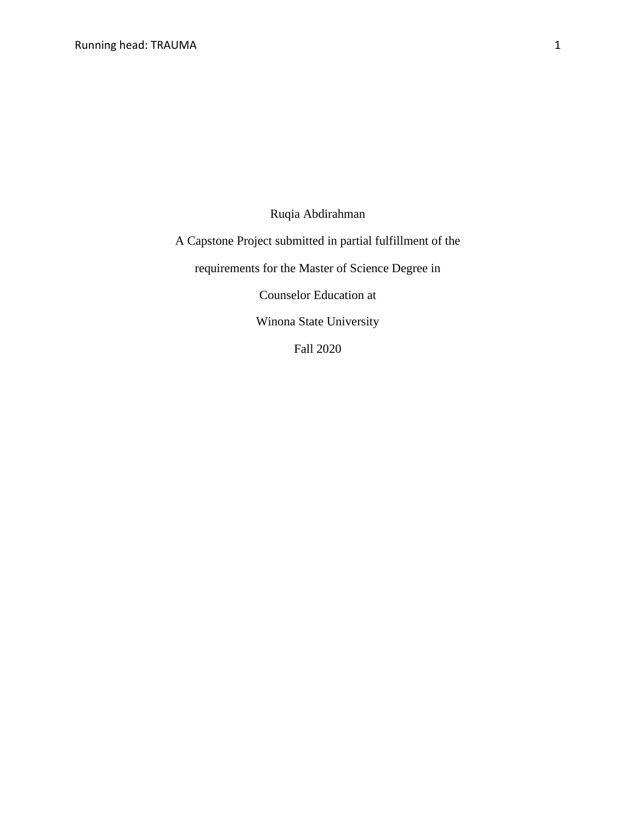Ruqia Abdirahman

A Capstone Project submitted in partial fulfillment of the

requirements for the Master of Science Degree in

Counselor Education at

Winona State University

Fall 2020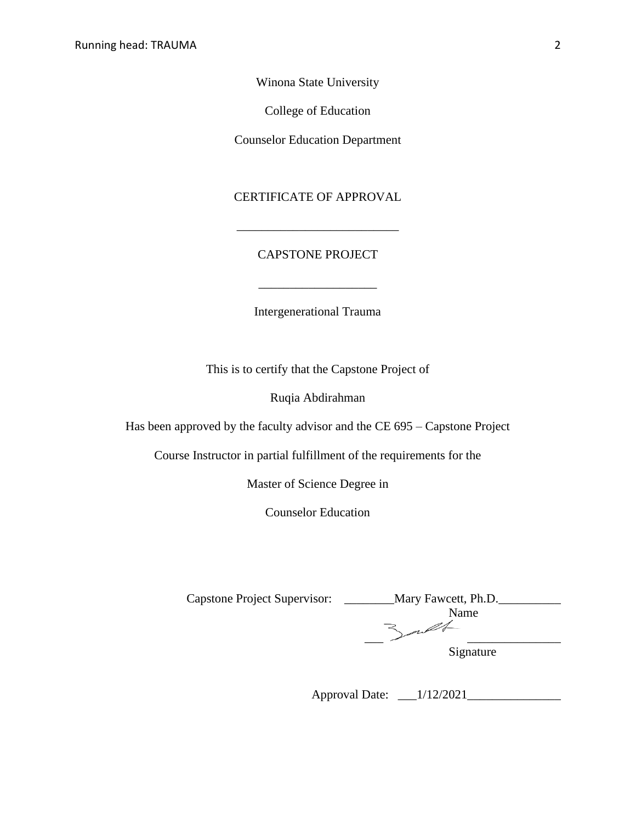Winona State University

College of Education

Counselor Education Department

## CERTIFICATE OF APPROVAL

## CAPSTONE PROJECT

\_\_\_\_\_\_\_\_\_\_\_\_\_\_\_\_\_\_\_\_\_\_\_\_\_\_

Intergenerational Trauma

This is to certify that the Capstone Project of

Ruqia Abdirahman

Has been approved by the faculty advisor and the CE 695 – Capstone Project

Course Instructor in partial fulfillment of the requirements for the

Master of Science Degree in

Counselor Education

| <b>Capstone Project Supervisor:</b> | Mary Fawcett, Ph.D. |
|-------------------------------------|---------------------|
|                                     | Name                |
|                                     |                     |
|                                     | Signature           |

Approval Date: \_\_\_1/12/2021\_\_\_\_\_\_\_\_\_\_\_\_\_\_\_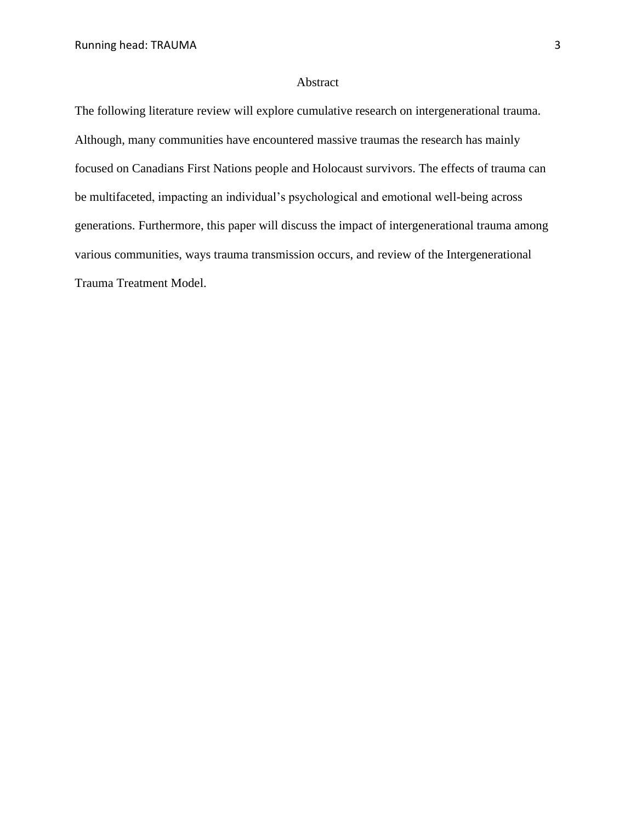#### Abstract

The following literature review will explore cumulative research on intergenerational trauma. Although, many communities have encountered massive traumas the research has mainly focused on Canadians First Nations people and Holocaust survivors. The effects of trauma can be multifaceted, impacting an individual's psychological and emotional well-being across generations. Furthermore, this paper will discuss the impact of intergenerational trauma among various communities, ways trauma transmission occurs, and review of the Intergenerational Trauma Treatment Model.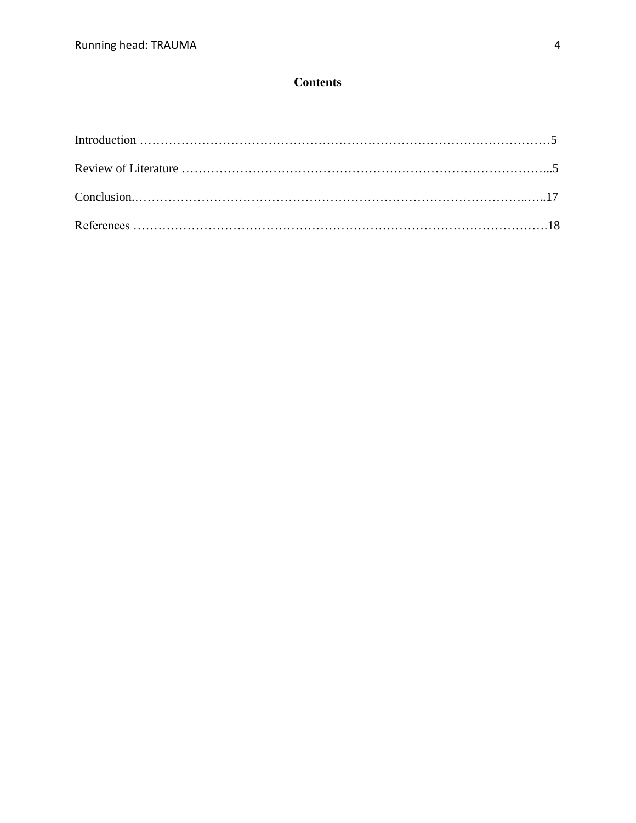# **Contents**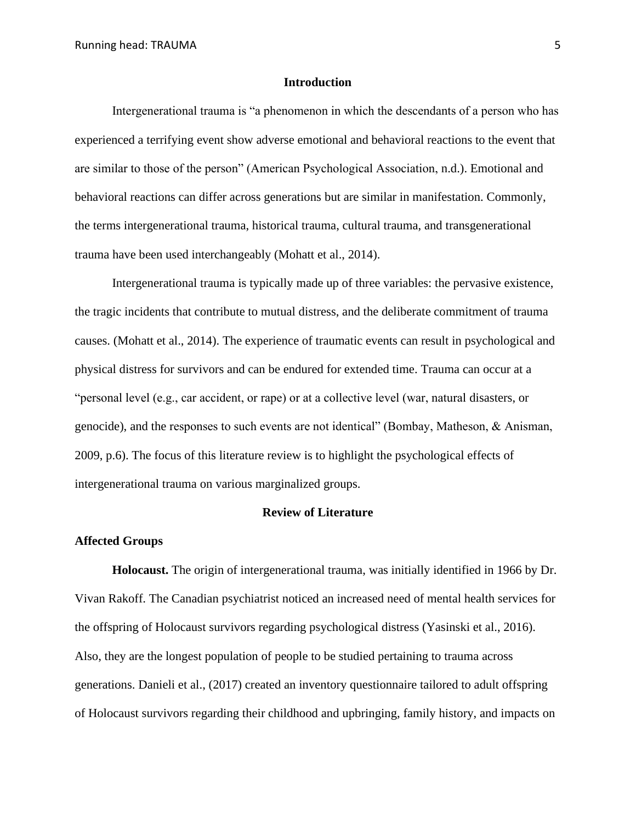#### **Introduction**

Intergenerational trauma is "a phenomenon in which the descendants of a person who has experienced a terrifying event show adverse emotional and behavioral reactions to the event that are similar to those of the person" (American Psychological Association, n.d.). Emotional and behavioral reactions can differ across generations but are similar in manifestation. Commonly, the terms intergenerational trauma, historical trauma, cultural trauma, and transgenerational trauma have been used interchangeably (Mohatt et al., 2014).

Intergenerational trauma is typically made up of three variables: the pervasive existence, the tragic incidents that contribute to mutual distress, and the deliberate commitment of trauma causes. (Mohatt et al., 2014). The experience of traumatic events can result in psychological and physical distress for survivors and can be endured for extended time. Trauma can occur at a "personal level (e.g., car accident, or rape) or at a collective level (war, natural disasters, or genocide), and the responses to such events are not identical" (Bombay, Matheson, & Anisman, 2009, p.6). The focus of this literature review is to highlight the psychological effects of intergenerational trauma on various marginalized groups.

#### **Review of Literature**

#### **Affected Groups**

**Holocaust.** The origin of intergenerational trauma, was initially identified in 1966 by Dr. Vivan Rakoff. The Canadian psychiatrist noticed an increased need of mental health services for the offspring of Holocaust survivors regarding psychological distress (Yasinski et al., 2016). Also, they are the longest population of people to be studied pertaining to trauma across generations. Danieli et al., (2017) created an inventory questionnaire tailored to adult offspring of Holocaust survivors regarding their childhood and upbringing, family history, and impacts on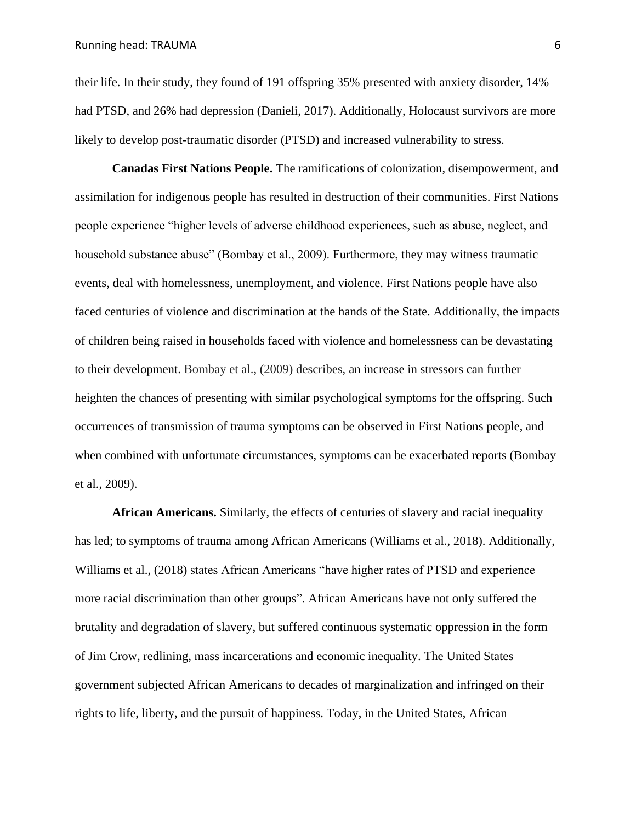their life. In their study, they found of 191 offspring 35% presented with anxiety disorder, 14% had PTSD, and 26% had depression (Danieli, 2017). Additionally, Holocaust survivors are more likely to develop post-traumatic disorder (PTSD) and increased vulnerability to stress.

**Canadas First Nations People.** The ramifications of colonization, disempowerment, and assimilation for indigenous people has resulted in destruction of their communities. First Nations people experience "higher levels of adverse childhood experiences, such as abuse, neglect, and household substance abuse" (Bombay et al., 2009). Furthermore, they may witness traumatic events, deal with homelessness, unemployment, and violence. First Nations people have also faced centuries of violence and discrimination at the hands of the State. Additionally, the impacts of children being raised in households faced with violence and homelessness can be devastating to their development. Bombay et al., (2009) describes, an increase in stressors can further heighten the chances of presenting with similar psychological symptoms for the offspring. Such occurrences of transmission of trauma symptoms can be observed in First Nations people, and when combined with unfortunate circumstances, symptoms can be exacerbated reports (Bombay et al., 2009).

**African Americans.** Similarly, the effects of centuries of slavery and racial inequality has led; to symptoms of trauma among African Americans (Williams et al., 2018). Additionally, Williams et al., (2018) states African Americans "have higher rates of PTSD and experience more racial discrimination than other groups". African Americans have not only suffered the brutality and degradation of slavery, but suffered continuous systematic oppression in the form of Jim Crow, redlining, mass incarcerations and economic inequality. The United States government subjected African Americans to decades of marginalization and infringed on their rights to life, liberty, and the pursuit of happiness. Today, in the United States, African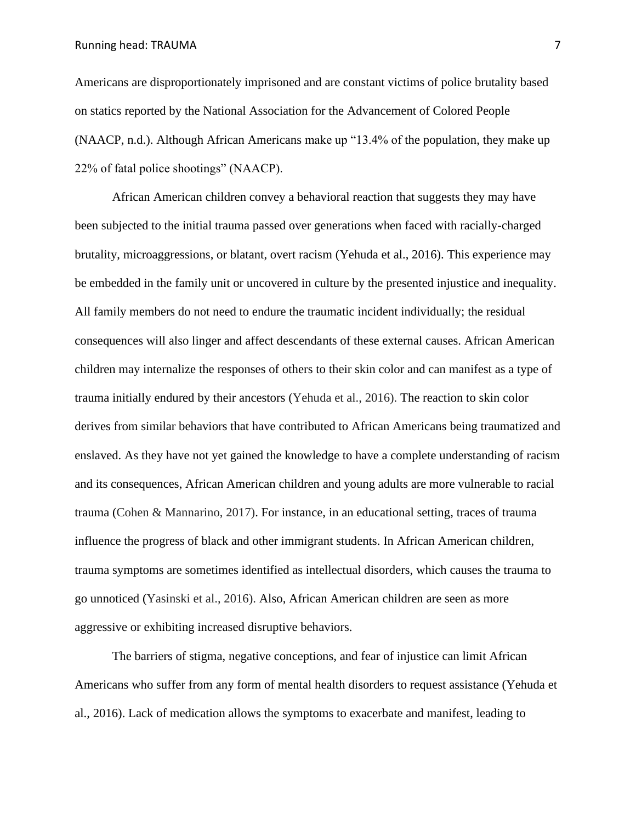Running head: TRAUMA 7

Americans are disproportionately imprisoned and are constant victims of police brutality based on statics reported by the National Association for the Advancement of Colored People (NAACP, n.d.). Although African Americans make up "13.4% of the population, they make up 22% of fatal police shootings" (NAACP).

African American children convey a behavioral reaction that suggests they may have been subjected to the initial trauma passed over generations when faced with racially-charged brutality, microaggressions, or blatant, overt racism (Yehuda et al., 2016). This experience may be embedded in the family unit or uncovered in culture by the presented injustice and inequality. All family members do not need to endure the traumatic incident individually; the residual consequences will also linger and affect descendants of these external causes. African American children may internalize the responses of others to their skin color and can manifest as a type of trauma initially endured by their ancestors (Yehuda et al., 2016). The reaction to skin color derives from similar behaviors that have contributed to African Americans being traumatized and enslaved. As they have not yet gained the knowledge to have a complete understanding of racism and its consequences, African American children and young adults are more vulnerable to racial trauma (Cohen & Mannarino, 2017). For instance, in an educational setting, traces of trauma influence the progress of black and other immigrant students. In African American children, trauma symptoms are sometimes identified as intellectual disorders, which causes the trauma to go unnoticed (Yasinski et al., 2016). Also, African American children are seen as more aggressive or exhibiting increased disruptive behaviors.

The barriers of stigma, negative conceptions, and fear of injustice can limit African Americans who suffer from any form of mental health disorders to request assistance (Yehuda et al., 2016). Lack of medication allows the symptoms to exacerbate and manifest, leading to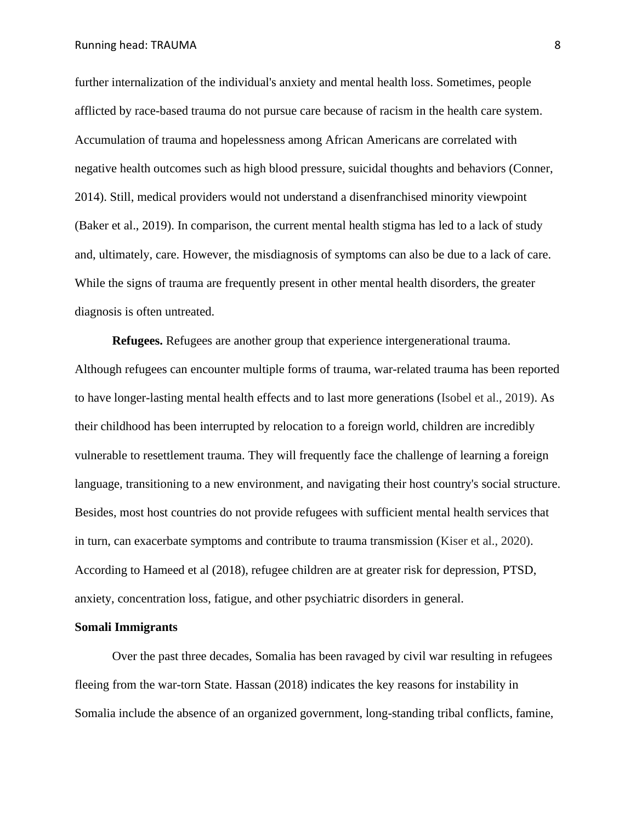further internalization of the individual's anxiety and mental health loss. Sometimes, people afflicted by race-based trauma do not pursue care because of racism in the health care system. Accumulation of trauma and hopelessness among African Americans are correlated with negative health outcomes such as high blood pressure, suicidal thoughts and behaviors (Conner, 2014). Still, medical providers would not understand a disenfranchised minority viewpoint (Baker et al., 2019). In comparison, the current mental health stigma has led to a lack of study and, ultimately, care. However, the misdiagnosis of symptoms can also be due to a lack of care. While the signs of trauma are frequently present in other mental health disorders, the greater diagnosis is often untreated.

**Refugees.** Refugees are another group that experience intergenerational trauma. Although refugees can encounter multiple forms of trauma, war-related trauma has been reported to have longer-lasting mental health effects and to last more generations (Isobel et al., 2019). As their childhood has been interrupted by relocation to a foreign world, children are incredibly vulnerable to resettlement trauma. They will frequently face the challenge of learning a foreign language, transitioning to a new environment, and navigating their host country's social structure. Besides, most host countries do not provide refugees with sufficient mental health services that in turn, can exacerbate symptoms and contribute to trauma transmission (Kiser et al., 2020). According to Hameed et al (2018), refugee children are at greater risk for depression, PTSD, anxiety, concentration loss, fatigue, and other psychiatric disorders in general.

#### **Somali Immigrants**

Over the past three decades, Somalia has been ravaged by civil war resulting in refugees fleeing from the war-torn State. Hassan (2018) indicates the key reasons for instability in Somalia include the absence of an organized government, long-standing tribal conflicts, famine,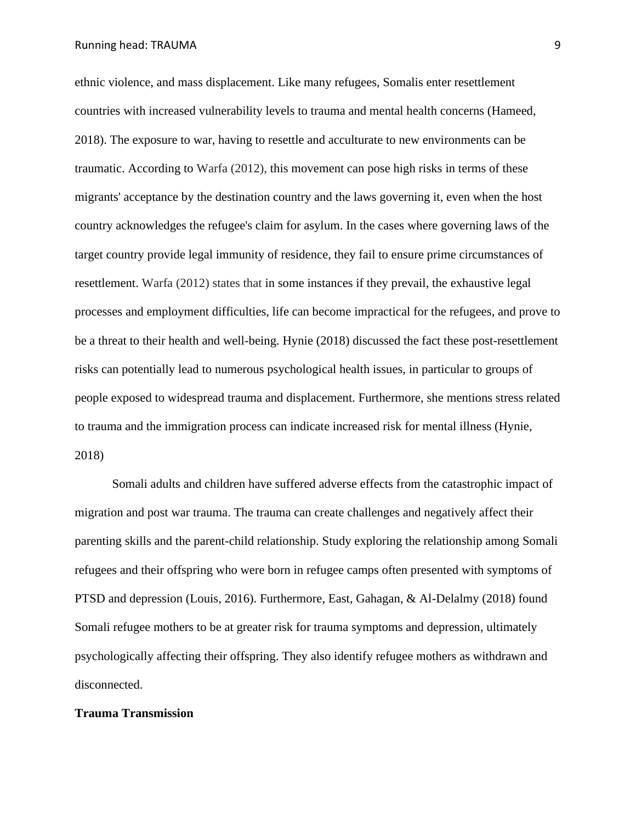ethnic violence, and mass displacement. Like many refugees, Somalis enter resettlement countries with increased vulnerability levels to trauma and mental health concerns (Hameed, 2018). The exposure to war, having to resettle and acculturate to new environments can be traumatic. According to Warfa (2012), this movement can pose high risks in terms of these migrants' acceptance by the destination country and the laws governing it, even when the host country acknowledges the refugee's claim for asylum. In the cases where governing laws of the target country provide legal immunity of residence, they fail to ensure prime circumstances of resettlement. Warfa (2012) states that in some instances if they prevail, the exhaustive legal processes and employment difficulties, life can become impractical for the refugees, and prove to be a threat to their health and well-being. Hynie (2018) discussed the fact these post-resettlement risks can potentially lead to numerous psychological health issues, in particular to groups of people exposed to widespread trauma and displacement. Furthermore, she mentions stress related to trauma and the immigration process can indicate increased risk for mental illness (Hynie, 2018)

Somali adults and children have suffered adverse effects from the catastrophic impact of migration and post war trauma. The trauma can create challenges and negatively affect their parenting skills and the parent-child relationship. Study exploring the relationship among Somali refugees and their offspring who were born in refugee camps often presented with symptoms of PTSD and depression (Louis, 2016). Furthermore, East, Gahagan, & Al-Delalmy (2018) found Somali refugee mothers to be at greater risk for trauma symptoms and depression, ultimately psychologically affecting their offspring. They also identify refugee mothers as withdrawn and disconnected.

#### **Trauma Transmission**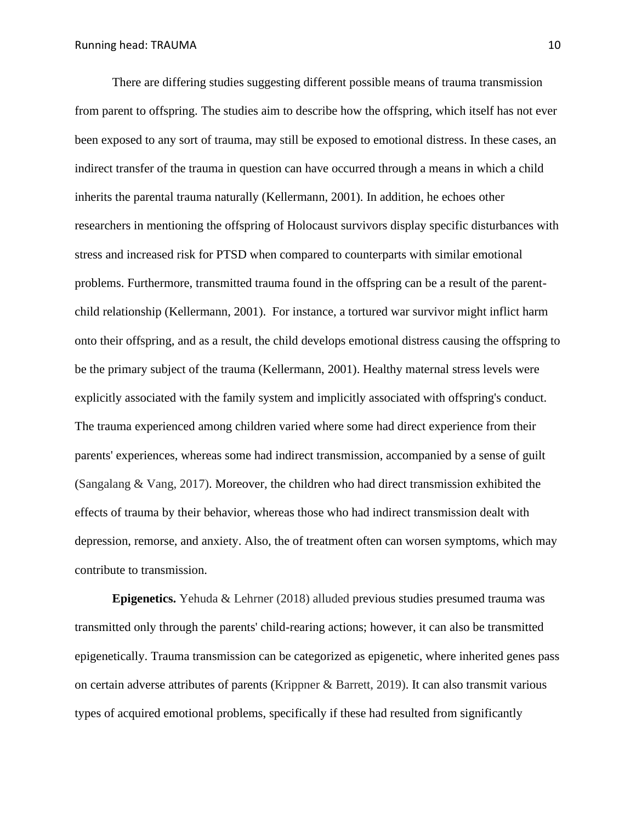There are differing studies suggesting different possible means of trauma transmission from parent to offspring. The studies aim to describe how the offspring, which itself has not ever been exposed to any sort of trauma, may still be exposed to emotional distress. In these cases, an indirect transfer of the trauma in question can have occurred through a means in which a child inherits the parental trauma naturally (Kellermann, 2001). In addition, he echoes other researchers in mentioning the offspring of Holocaust survivors display specific disturbances with stress and increased risk for PTSD when compared to counterparts with similar emotional problems. Furthermore, transmitted trauma found in the offspring can be a result of the parentchild relationship (Kellermann, 2001). For instance, a tortured war survivor might inflict harm onto their offspring, and as a result, the child develops emotional distress causing the offspring to be the primary subject of the trauma (Kellermann, 2001). Healthy maternal stress levels were explicitly associated with the family system and implicitly associated with offspring's conduct. The trauma experienced among children varied where some had direct experience from their parents' experiences, whereas some had indirect transmission, accompanied by a sense of guilt (Sangalang & Vang, 2017). Moreover, the children who had direct transmission exhibited the effects of trauma by their behavior, whereas those who had indirect transmission dealt with depression, remorse, and anxiety. Also, the of treatment often can worsen symptoms, which may contribute to transmission.

**Epigenetics.** Yehuda & Lehrner (2018) alluded previous studies presumed trauma was transmitted only through the parents' child-rearing actions; however, it can also be transmitted epigenetically. Trauma transmission can be categorized as epigenetic, where inherited genes pass on certain adverse attributes of parents (Krippner & Barrett, 2019). It can also transmit various types of acquired emotional problems, specifically if these had resulted from significantly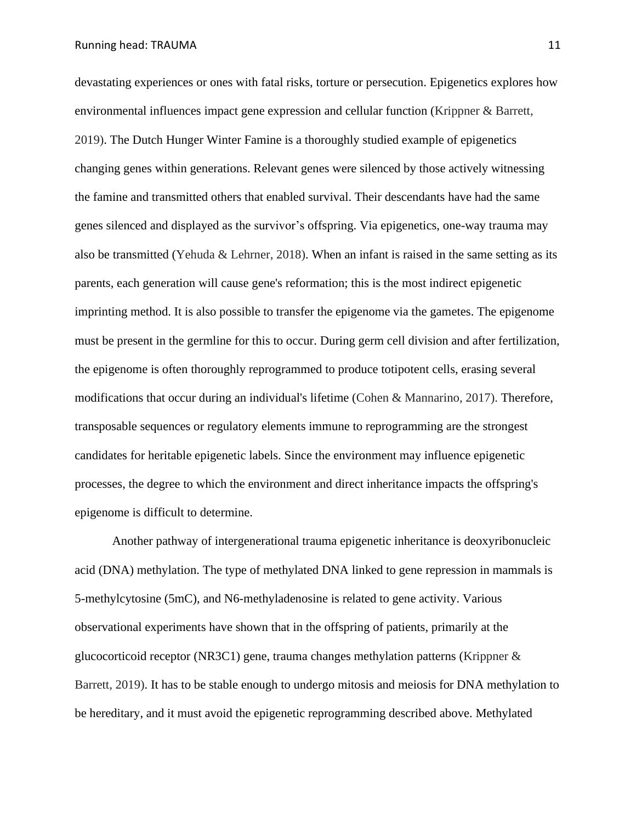devastating experiences or ones with fatal risks, torture or persecution. Epigenetics explores how environmental influences impact gene expression and cellular function (Krippner & Barrett, 2019). The Dutch Hunger Winter Famine is a thoroughly studied example of epigenetics changing genes within generations. Relevant genes were silenced by those actively witnessing the famine and transmitted others that enabled survival. Their descendants have had the same genes silenced and displayed as the survivor's offspring. Via epigenetics, one-way trauma may also be transmitted (Yehuda & Lehrner, 2018). When an infant is raised in the same setting as its parents, each generation will cause gene's reformation; this is the most indirect epigenetic imprinting method. It is also possible to transfer the epigenome via the gametes. The epigenome must be present in the germline for this to occur. During germ cell division and after fertilization, the epigenome is often thoroughly reprogrammed to produce totipotent cells, erasing several modifications that occur during an individual's lifetime (Cohen & Mannarino, 2017). Therefore, transposable sequences or regulatory elements immune to reprogramming are the strongest candidates for heritable epigenetic labels. Since the environment may influence epigenetic processes, the degree to which the environment and direct inheritance impacts the offspring's epigenome is difficult to determine.

Another pathway of intergenerational trauma epigenetic inheritance is deoxyribonucleic acid (DNA) methylation. The type of methylated DNA linked to gene repression in mammals is 5-methylcytosine (5mC), and N6-methyladenosine is related to gene activity. Various observational experiments have shown that in the offspring of patients, primarily at the glucocorticoid receptor (NR3C1) gene, trauma changes methylation patterns (Krippner & Barrett, 2019). It has to be stable enough to undergo mitosis and meiosis for DNA methylation to be hereditary, and it must avoid the epigenetic reprogramming described above. Methylated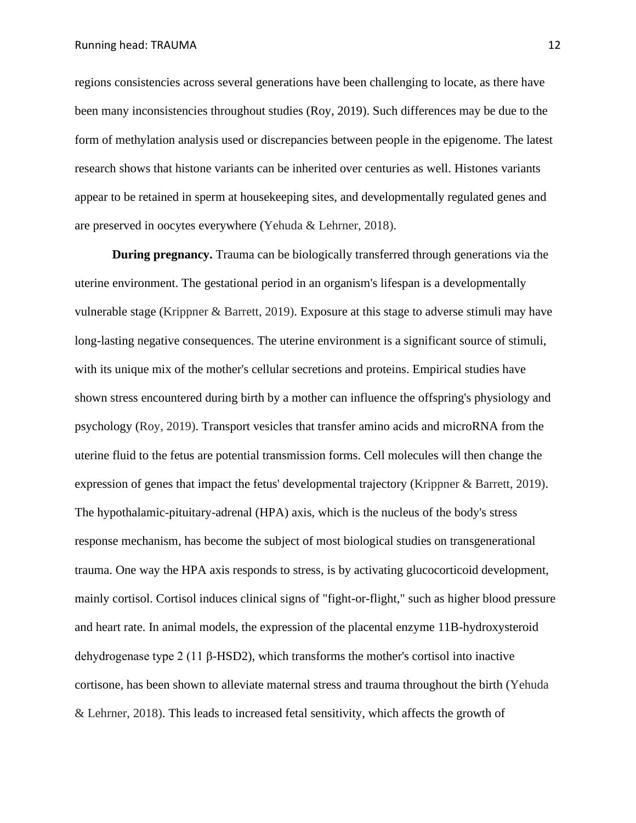regions consistencies across several generations have been challenging to locate, as there have been many inconsistencies throughout studies (Roy, 2019). Such differences may be due to the form of methylation analysis used or discrepancies between people in the epigenome. The latest research shows that histone variants can be inherited over centuries as well. Histones variants appear to be retained in sperm at housekeeping sites, and developmentally regulated genes and are preserved in oocytes everywhere (Yehuda & Lehrner, 2018).

**During pregnancy.** Trauma can be biologically transferred through generations via the uterine environment. The gestational period in an organism's lifespan is a developmentally vulnerable stage (Krippner & Barrett, 2019). Exposure at this stage to adverse stimuli may have long-lasting negative consequences. The uterine environment is a significant source of stimuli, with its unique mix of the mother's cellular secretions and proteins. Empirical studies have shown stress encountered during birth by a mother can influence the offspring's physiology and psychology (Roy, 2019). Transport vesicles that transfer amino acids and microRNA from the uterine fluid to the fetus are potential transmission forms. Cell molecules will then change the expression of genes that impact the fetus' developmental trajectory (Krippner & Barrett, 2019). The hypothalamic-pituitary-adrenal (HPA) axis, which is the nucleus of the body's stress response mechanism, has become the subject of most biological studies on transgenerational trauma. One way the HPA axis responds to stress, is by activating glucocorticoid development, mainly cortisol. Cortisol induces clinical signs of "fight-or-flight," such as higher blood pressure and heart rate. In animal models, the expression of the placental enzyme 11B-hydroxysteroid dehydrogenase type 2 (11 β-HSD2), which transforms the mother's cortisol into inactive cortisone, has been shown to alleviate maternal stress and trauma throughout the birth (Yehuda & Lehrner, 2018). This leads to increased fetal sensitivity, which affects the growth of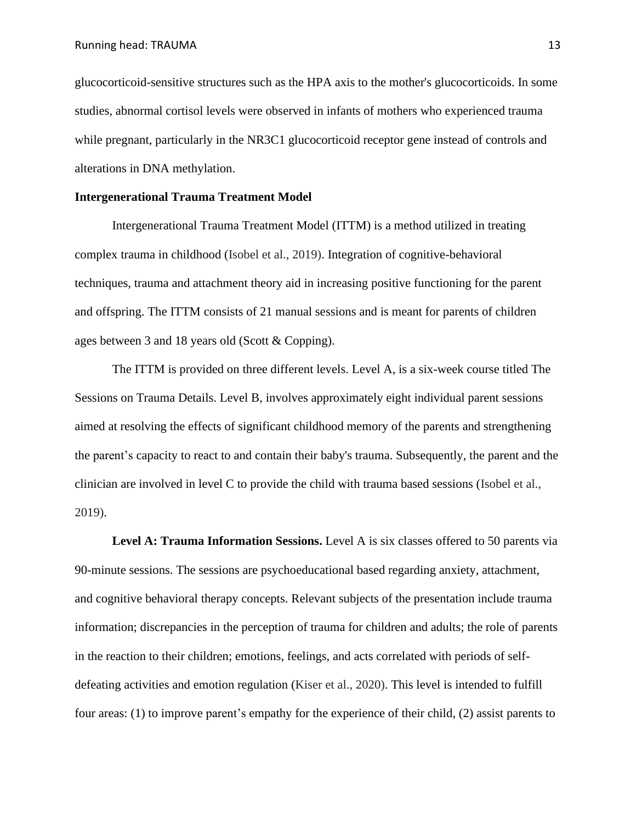glucocorticoid-sensitive structures such as the HPA axis to the mother's glucocorticoids. In some studies, abnormal cortisol levels were observed in infants of mothers who experienced trauma while pregnant, particularly in the NR3C1 glucocorticoid receptor gene instead of controls and alterations in DNA methylation.

#### **Intergenerational Trauma Treatment Model**

Intergenerational Trauma Treatment Model (ITTM) is a method utilized in treating complex trauma in childhood (Isobel et al., 2019). Integration of cognitive-behavioral techniques, trauma and attachment theory aid in increasing positive functioning for the parent and offspring. The ITTM consists of 21 manual sessions and is meant for parents of children ages between 3 and 18 years old (Scott & Copping).

The ITTM is provided on three different levels. Level A, is a six-week course titled The Sessions on Trauma Details. Level B, involves approximately eight individual parent sessions aimed at resolving the effects of significant childhood memory of the parents and strengthening the parent's capacity to react to and contain their baby's trauma. Subsequently, the parent and the clinician are involved in level C to provide the child with trauma based sessions (Isobel et al., 2019).

**Level A: Trauma Information Sessions.** Level A is six classes offered to 50 parents via 90-minute sessions. The sessions are psychoeducational based regarding anxiety, attachment, and cognitive behavioral therapy concepts. Relevant subjects of the presentation include trauma information; discrepancies in the perception of trauma for children and adults; the role of parents in the reaction to their children; emotions, feelings, and acts correlated with periods of selfdefeating activities and emotion regulation (Kiser et al., 2020). This level is intended to fulfill four areas: (1) to improve parent's empathy for the experience of their child, (2) assist parents to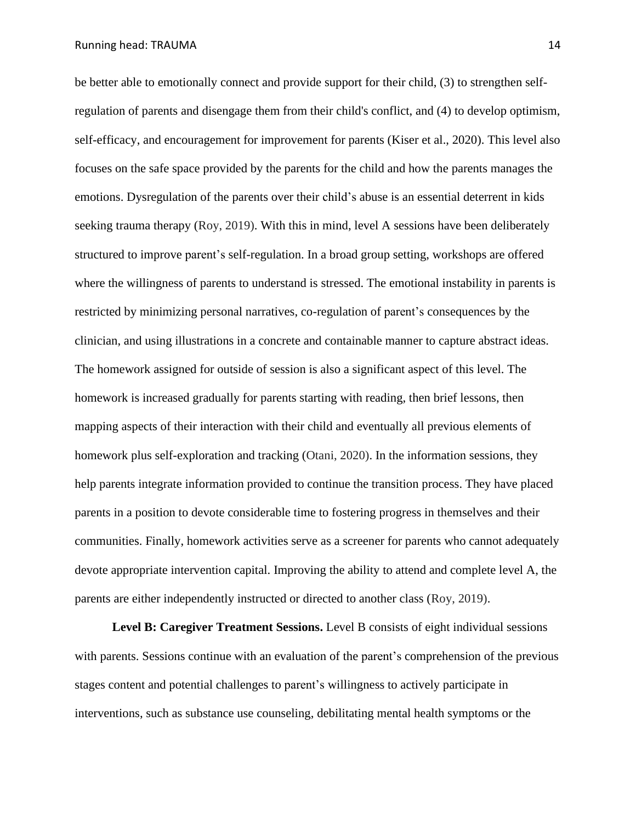be better able to emotionally connect and provide support for their child, (3) to strengthen selfregulation of parents and disengage them from their child's conflict, and (4) to develop optimism, self-efficacy, and encouragement for improvement for parents (Kiser et al., 2020). This level also focuses on the safe space provided by the parents for the child and how the parents manages the emotions. Dysregulation of the parents over their child's abuse is an essential deterrent in kids seeking trauma therapy (Roy, 2019). With this in mind, level A sessions have been deliberately structured to improve parent's self-regulation. In a broad group setting, workshops are offered where the willingness of parents to understand is stressed. The emotional instability in parents is restricted by minimizing personal narratives, co-regulation of parent's consequences by the clinician, and using illustrations in a concrete and containable manner to capture abstract ideas. The homework assigned for outside of session is also a significant aspect of this level. The homework is increased gradually for parents starting with reading, then brief lessons, then mapping aspects of their interaction with their child and eventually all previous elements of homework plus self-exploration and tracking (Otani, 2020). In the information sessions, they help parents integrate information provided to continue the transition process. They have placed parents in a position to devote considerable time to fostering progress in themselves and their communities. Finally, homework activities serve as a screener for parents who cannot adequately devote appropriate intervention capital. Improving the ability to attend and complete level A, the parents are either independently instructed or directed to another class (Roy, 2019).

**Level B: Caregiver Treatment Sessions.** Level B consists of eight individual sessions with parents. Sessions continue with an evaluation of the parent's comprehension of the previous stages content and potential challenges to parent's willingness to actively participate in interventions, such as substance use counseling, debilitating mental health symptoms or the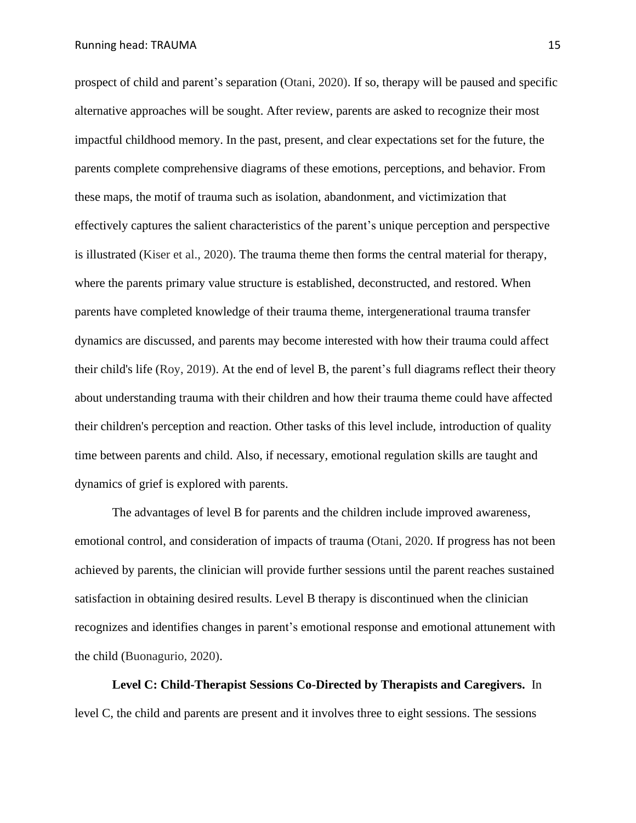prospect of child and parent's separation (Otani, 2020). If so, therapy will be paused and specific alternative approaches will be sought. After review, parents are asked to recognize their most impactful childhood memory. In the past, present, and clear expectations set for the future, the parents complete comprehensive diagrams of these emotions, perceptions, and behavior. From these maps, the motif of trauma such as isolation, abandonment, and victimization that effectively captures the salient characteristics of the parent's unique perception and perspective is illustrated (Kiser et al., 2020). The trauma theme then forms the central material for therapy, where the parents primary value structure is established, deconstructed, and restored. When parents have completed knowledge of their trauma theme, intergenerational trauma transfer dynamics are discussed, and parents may become interested with how their trauma could affect their child's life (Roy, 2019). At the end of level B, the parent's full diagrams reflect their theory about understanding trauma with their children and how their trauma theme could have affected their children's perception and reaction. Other tasks of this level include, introduction of quality time between parents and child. Also, if necessary, emotional regulation skills are taught and dynamics of grief is explored with parents.

The advantages of level B for parents and the children include improved awareness, emotional control, and consideration of impacts of trauma (Otani, 2020. If progress has not been achieved by parents, the clinician will provide further sessions until the parent reaches sustained satisfaction in obtaining desired results. Level B therapy is discontinued when the clinician recognizes and identifies changes in parent's emotional response and emotional attunement with the child (Buonagurio, 2020).

**Level C: Child-Therapist Sessions Co-Directed by Therapists and Caregivers.** In level C, the child and parents are present and it involves three to eight sessions. The sessions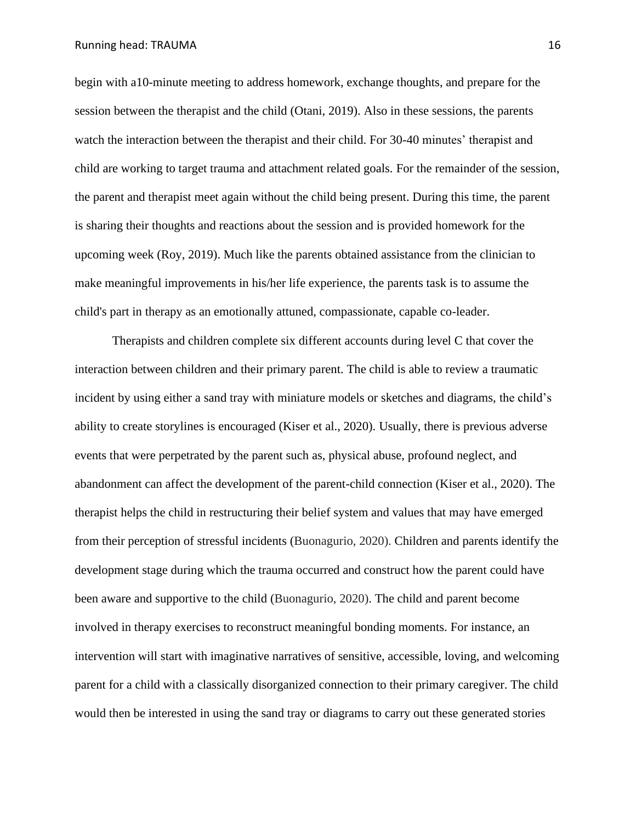begin with a10-minute meeting to address homework, exchange thoughts, and prepare for the session between the therapist and the child (Otani, 2019). Also in these sessions, the parents watch the interaction between the therapist and their child. For 30-40 minutes' therapist and child are working to target trauma and attachment related goals. For the remainder of the session, the parent and therapist meet again without the child being present. During this time, the parent is sharing their thoughts and reactions about the session and is provided homework for the upcoming week (Roy, 2019). Much like the parents obtained assistance from the clinician to make meaningful improvements in his/her life experience, the parents task is to assume the child's part in therapy as an emotionally attuned, compassionate, capable co-leader.

Therapists and children complete six different accounts during level C that cover the interaction between children and their primary parent. The child is able to review a traumatic incident by using either a sand tray with miniature models or sketches and diagrams, the child's ability to create storylines is encouraged (Kiser et al., 2020). Usually, there is previous adverse events that were perpetrated by the parent such as, physical abuse, profound neglect, and abandonment can affect the development of the parent-child connection (Kiser et al., 2020). The therapist helps the child in restructuring their belief system and values that may have emerged from their perception of stressful incidents (Buonagurio, 2020). Children and parents identify the development stage during which the trauma occurred and construct how the parent could have been aware and supportive to the child (Buonagurio, 2020). The child and parent become involved in therapy exercises to reconstruct meaningful bonding moments. For instance, an intervention will start with imaginative narratives of sensitive, accessible, loving, and welcoming parent for a child with a classically disorganized connection to their primary caregiver. The child would then be interested in using the sand tray or diagrams to carry out these generated stories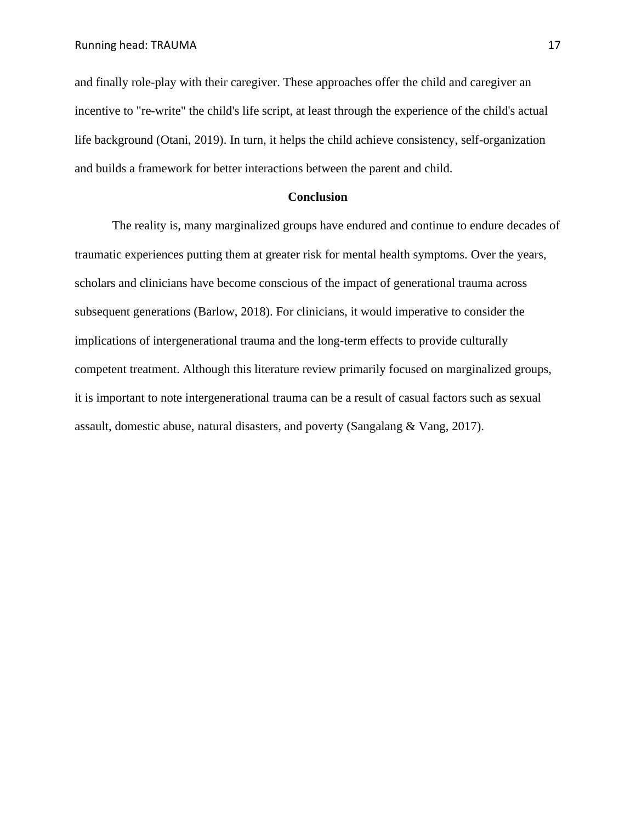and finally role-play with their caregiver. These approaches offer the child and caregiver an incentive to "re-write" the child's life script, at least through the experience of the child's actual life background (Otani, 2019). In turn, it helps the child achieve consistency, self-organization and builds a framework for better interactions between the parent and child.

#### **Conclusion**

The reality is, many marginalized groups have endured and continue to endure decades of traumatic experiences putting them at greater risk for mental health symptoms. Over the years, scholars and clinicians have become conscious of the impact of generational trauma across subsequent generations (Barlow, 2018). For clinicians, it would imperative to consider the implications of intergenerational trauma and the long-term effects to provide culturally competent treatment. Although this literature review primarily focused on marginalized groups, it is important to note intergenerational trauma can be a result of casual factors such as sexual assault, domestic abuse, natural disasters, and poverty (Sangalang & Vang, 2017).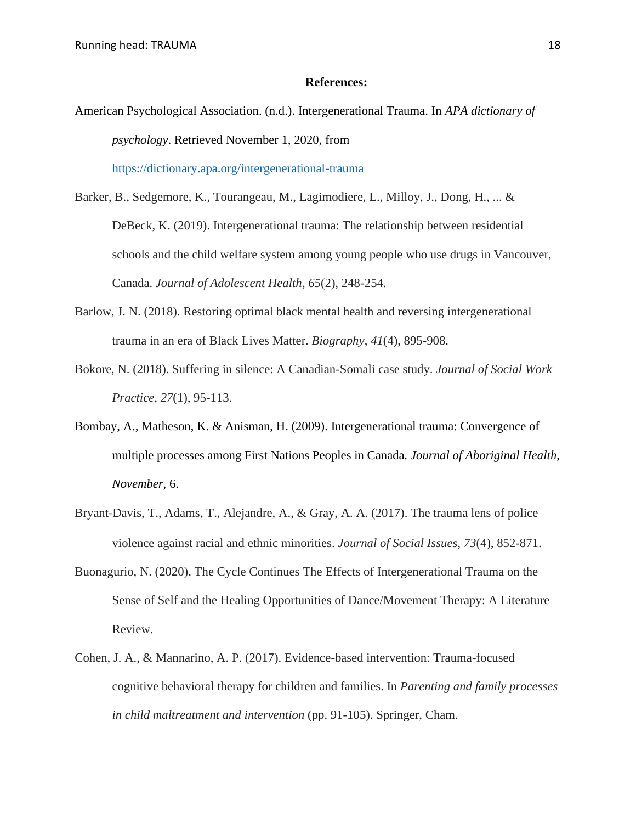#### **References:**

- American Psychological Association. (n.d.). Intergenerational Trauma. In *APA dictionary of psychology*. Retrieved November 1, 2020, from <https://dictionary.apa.org/intergenerational-trauma>
- Barker, B., Sedgemore, K., Tourangeau, M., Lagimodiere, L., Milloy, J., Dong, H., ... & DeBeck, K. (2019). Intergenerational trauma: The relationship between residential schools and the child welfare system among young people who use drugs in Vancouver, Canada. *Journal of Adolescent Health*, *65*(2), 248-254.
- Barlow, J. N. (2018). Restoring optimal black mental health and reversing intergenerational trauma in an era of Black Lives Matter. *Biography*, *41*(4), 895-908.
- Bokore, N. (2018). Suffering in silence: A Canadian-Somali case study. *Journal of Social Work Practice*, *27*(1), 95-113.
- Bombay, A., Matheson, K. & Anisman, H. (2009). Intergenerational trauma: Convergence of multiple processes among First Nations Peoples in Canada*. Journal of Aboriginal Health*, *November,* 6.
- Bryant-Davis, T., Adams, T., Alejandre, A., & Gray, A. A. (2017). The trauma lens of police violence against racial and ethnic minorities. *Journal of Social Issues*, *73*(4), 852-871.
- Buonagurio, N. (2020). The Cycle Continues The Effects of Intergenerational Trauma on the Sense of Self and the Healing Opportunities of Dance/Movement Therapy: A Literature Review.
- Cohen, J. A., & Mannarino, A. P. (2017). Evidence-based intervention: Trauma-focused cognitive behavioral therapy for children and families. In *Parenting and family processes in child maltreatment and intervention* (pp. 91-105). Springer, Cham.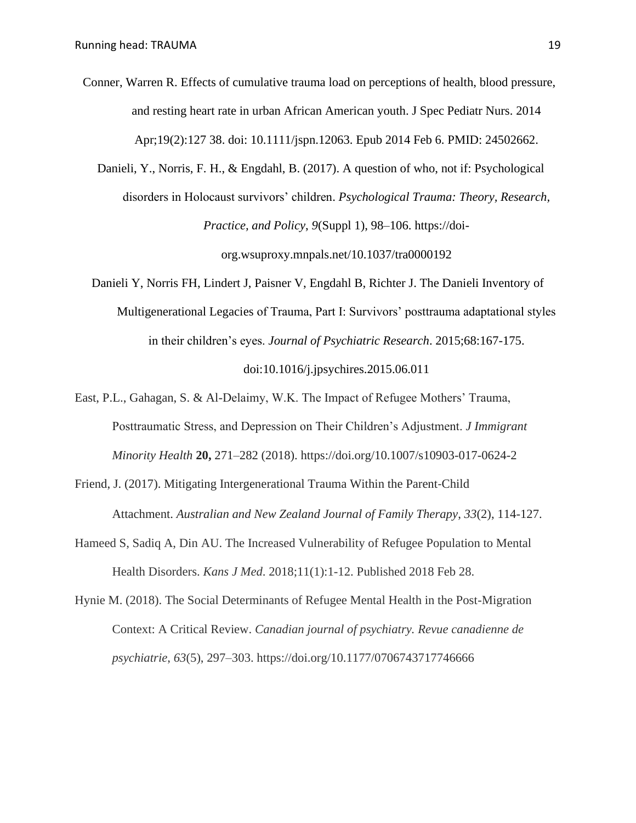Conner, Warren R. Effects of cumulative trauma load on perceptions of health, blood pressure, and resting heart rate in urban African American youth. J Spec Pediatr Nurs. 2014 Apr;19(2):127 38. doi: 10.1111/jspn.12063. Epub 2014 Feb 6. PMID: 24502662.

 Danieli, Y., Norris, F. H., & Engdahl, B. (2017). A question of who, not if: Psychological disorders in Holocaust survivors' children. *Psychological Trauma: Theory, Research, Practice, and Policy*, *9*(Suppl 1), 98–106. https://doiorg.wsuproxy.mnpals.net/10.1037/tra0000192

Danieli Y, Norris FH, Lindert J, Paisner V, Engdahl B, Richter J. The Danieli Inventory of Multigenerational Legacies of Trauma, Part I: Survivors' posttrauma adaptational styles in their children's eyes. *Journal of Psychiatric Research*. 2015;68:167-175. doi:10.1016/j.jpsychires.2015.06.011

East, P.L., Gahagan, S. & Al-Delaimy, W.K. The Impact of Refugee Mothers' Trauma, Posttraumatic Stress, and Depression on Their Children's Adjustment. *J Immigrant Minority Health* **20,** 271–282 (2018). https://doi.org/10.1007/s10903-017-0624-2

- Friend, J. (2017). Mitigating Intergenerational Trauma Within the Parent‐Child Attachment. *Australian and New Zealand Journal of Family Therapy*, *33*(2), 114-127.
- Hameed S, Sadiq A, Din AU. The Increased Vulnerability of Refugee Population to Mental Health Disorders. *Kans J Med*. 2018;11(1):1-12. Published 2018 Feb 28.

Hynie M. (2018). The Social Determinants of Refugee Mental Health in the Post-Migration Context: A Critical Review. *Canadian journal of psychiatry. Revue canadienne de psychiatrie*, *63*(5), 297–303. https://doi.org/10.1177/0706743717746666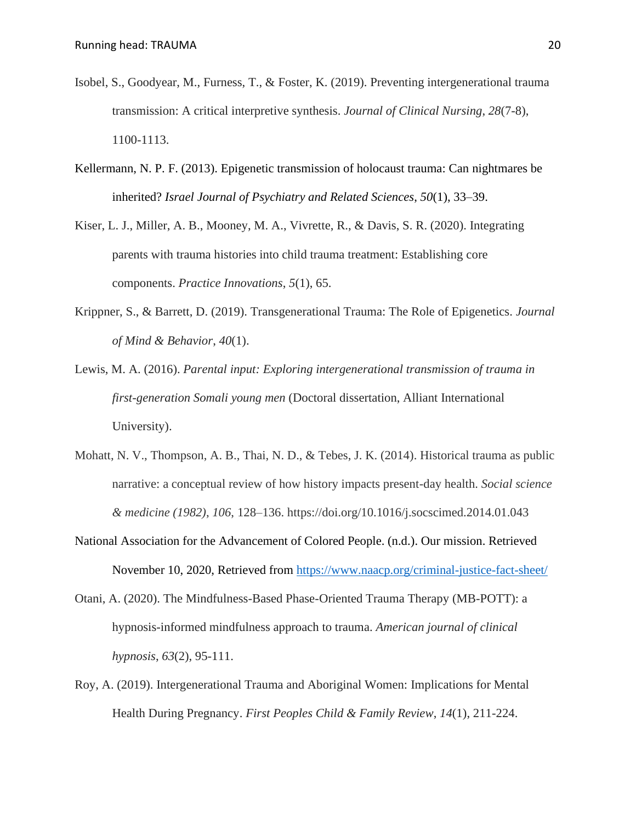- Isobel, S., Goodyear, M., Furness, T., & Foster, K. (2019). Preventing intergenerational trauma transmission: A critical interpretive synthesis. *Journal of Clinical Nursing*, *28*(7-8), 1100-1113.
- Kellermann, N. P. F. (2013). Epigenetic transmission of holocaust trauma: Can nightmares be inherited? *Israel Journal of Psychiatry and Related Sciences*, *50*(1), 33–39.
- Kiser, L. J., Miller, A. B., Mooney, M. A., Vivrette, R., & Davis, S. R. (2020). Integrating parents with trauma histories into child trauma treatment: Establishing core components. *Practice Innovations*, *5*(1), 65.
- Krippner, S., & Barrett, D. (2019). Transgenerational Trauma: The Role of Epigenetics. *Journal of Mind & Behavior*, *40*(1).
- Lewis, M. A. (2016). *Parental input: Exploring intergenerational transmission of trauma in first-generation Somali young men* (Doctoral dissertation, Alliant International University).
- Mohatt, N. V., Thompson, A. B., Thai, N. D., & Tebes, J. K. (2014). Historical trauma as public narrative: a conceptual review of how history impacts present-day health. *Social science & medicine (1982)*, *106*, 128–136. https://doi.org/10.1016/j.socscimed.2014.01.043
- National Association for the Advancement of Colored People. (n.d.). Our mission. Retrieved November 10, 2020, Retrieved from<https://www.naacp.org/criminal-justice-fact-sheet/>
- Otani, A. (2020). The Mindfulness-Based Phase-Oriented Trauma Therapy (MB-POTT): a hypnosis-informed mindfulness approach to trauma. *American journal of clinical hypnosis*, *63*(2), 95-111.
- Roy, A. (2019). Intergenerational Trauma and Aboriginal Women: Implications for Mental Health During Pregnancy. *First Peoples Child & Family Review*, *14*(1), 211-224.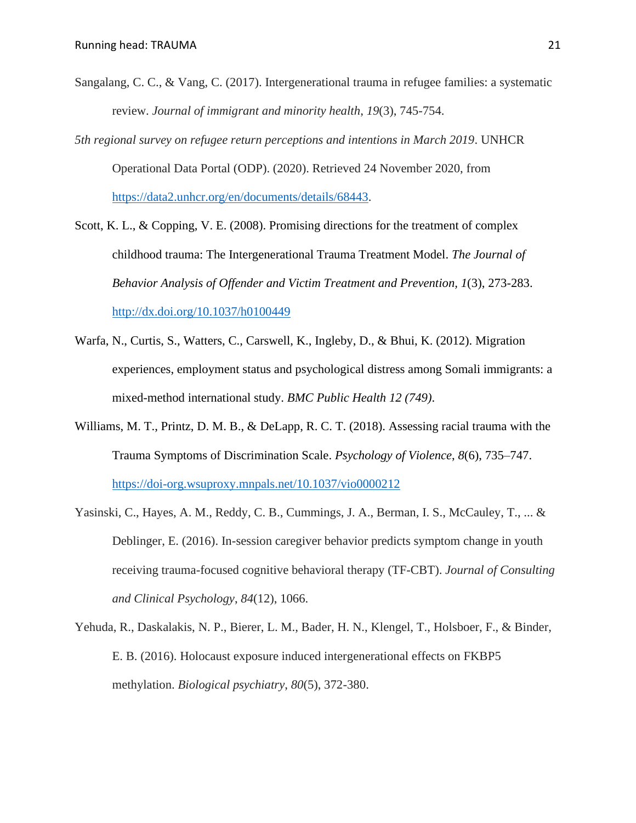- Sangalang, C. C., & Vang, C. (2017). Intergenerational trauma in refugee families: a systematic review. *Journal of immigrant and minority health*, *19*(3), 745-754.
- *5th regional survey on refugee return perceptions and intentions in March 2019*. UNHCR Operational Data Portal (ODP). (2020). Retrieved 24 November 2020, from [https://data2.unhcr.org/en/documents/details/68443.](https://data2.unhcr.org/en/documents/details/68443)
- Scott, K. L., & Copping, V. E. (2008). Promising directions for the treatment of complex childhood trauma: The Intergenerational Trauma Treatment Model. *The Journal of Behavior Analysis of Offender and Victim Treatment and Prevention, 1*(3), 273-283. <http://dx.doi.org/10.1037/h0100449>
- Warfa, N., Curtis, S., Watters, C., Carswell, K., Ingleby, D., & Bhui, K. (2012). Migration experiences, employment status and psychological distress among Somali immigrants: a mixed-method international study. *BMC Public Health 12 (749)*.
- Williams, M. T., Printz, D. M. B., & DeLapp, R. C. T. (2018). Assessing racial trauma with the Trauma Symptoms of Discrimination Scale. *Psychology of Violence*, *8*(6), 735–747. <https://doi-org.wsuproxy.mnpals.net/10.1037/vio0000212>
- Yasinski, C., Hayes, A. M., Reddy, C. B., Cummings, J. A., Berman, I. S., McCauley, T., ... & Deblinger, E. (2016). In-session caregiver behavior predicts symptom change in youth receiving trauma-focused cognitive behavioral therapy (TF-CBT). *Journal of Consulting and Clinical Psychology*, *84*(12), 1066.
- Yehuda, R., Daskalakis, N. P., Bierer, L. M., Bader, H. N., Klengel, T., Holsboer, F., & Binder, E. B. (2016). Holocaust exposure induced intergenerational effects on FKBP5 methylation. *Biological psychiatry*, *80*(5), 372-380.